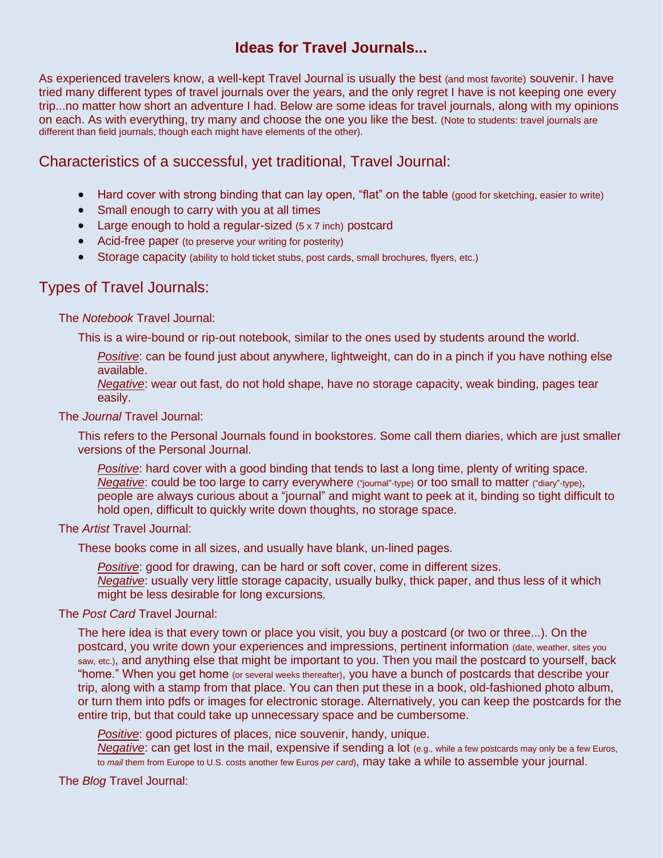# **Ideas for Travel Journals...**

As experienced travelers know, a well-kept Travel Journal is usually the best (and most favorite) souvenir. I have tried many different types of travel journals over the years, and the only regret I have is not keeping one every trip...no matter how short an adventure I had. Below are some ideas for travel journals, along with my opinions on each. As with everything, try many and choose the one you like the best. (Note to students: travel journals are different than field journals, though each might have elements of the other).

## Characteristics of a successful, yet traditional, Travel Journal:

- Hard cover with strong binding that can lay open, "flat" on the table (good for sketching, easier to write)
- Small enough to carry with you at all times
- Large enough to hold a regular-sized (5 x 7 inch) postcard
- Acid-free paper (to preserve your writing for posterity)
- Storage capacity (ability to hold ticket stubs, post cards, small brochures, flyers, etc.)

### Types of Travel Journals:

The *Notebook* Travel Journal:

This is a wire-bound or rip-out notebook, similar to the ones used by students around the world.

*Positive*: can be found just about anywhere, lightweight, can do in a pinch if you have nothing else available.

*Negative*: wear out fast, do not hold shape, have no storage capacity, weak binding, pages tear easily.

The *Journal* Travel Journal:

This refers to the Personal Journals found in bookstores. Some call them diaries, which are just smaller versions of the Personal Journal.

*Positive*: hard cover with a good binding that tends to last a long time, plenty of writing space. *Negative*: could be too large to carry everywhere ("journal"-type) or too small to matter ("diary"-type), people are always curious about a "journal" and might want to peek at it, binding so tight difficult to hold open, difficult to quickly write down thoughts, no storage space.

### The *Artist* Travel Journal:

These books come in all sizes, and usually have blank, un-lined pages.

*Positive*: good for drawing, can be hard or soft cover, come in different sizes. *Negative*: usually very little storage capacity, usually bulky, thick paper, and thus less of it which might be less desirable for long excursions.

### The *Post Card* Travel Journal:

The here idea is that every town or place you visit, you buy a postcard (or two or three...). On the postcard, you write down your experiences and impressions, pertinent information (date, weather, sites you saw, etc.), and anything else that might be important to you. Then you mail the postcard to yourself, back "home." When you get home (or several weeks thereafter), you have a bunch of postcards that describe your trip, along with a stamp from that place. You can then put these in a book, old-fashioned photo album, or turn them into pdfs or images for electronic storage. Alternatively, you can keep the postcards for the entire trip, but that could take up unnecessary space and be cumbersome.

*Positive*: good pictures of places, nice souvenir, handy, unique.

*Negative*: can get lost in the mail, expensive if sending a lot (e.g., while a few postcards may only be a few Euros, to *mail* them from Europe to U.S. costs another few Euros *per card*), may take a while to assemble your journal.

The *Blog* Travel Journal: